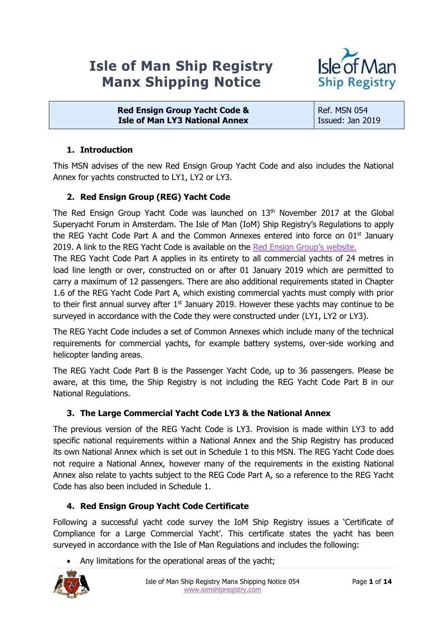# **Isle of Man Ship Registry Manx Shipping Notice**



**Red Ensign Group Yacht Code & Isle of Man LY3 National Annex**

Ref. MSN 054 Issued: Jan 2019

# **1. Introduction**

This MSN advises of the new Red Ensign Group Yacht Code and also includes the National Annex for yachts constructed to LY1, LY2 or LY3.

# **2. Red Ensign Group (REG) Yacht Code**

The Red Ensign Group Yacht Code was launched on  $13<sup>th</sup>$  November 2017 at the Global Superyacht Forum in Amsterdam. The Isle of Man (IoM) Ship Registry's Regulations to apply the REG Yacht Code Part A and the Common Annexes entered into force on  $01<sup>st</sup>$  January 2019. A link to the REG Yacht Code is available on the [Red Ensign Group's website](https://www.redensigngroup.org/publications/).

The REG Yacht Code Part A applies in its entirety to all commercial yachts of 24 metres in load line length or over, constructed on or after 01 January 2019 which are permitted to carry a maximum of 12 passengers. There are also additional requirements stated in Chapter 1.6 of the REG Yacht Code Part A, which existing commercial yachts must comply with prior to their first annual survey after  $1<sup>st</sup>$  January 2019. However these yachts may continue to be surveyed in accordance with the Code they were constructed under (LY1, LY2 or LY3).

The REG Yacht Code includes a set of Common Annexes which include many of the technical requirements for commercial yachts, for example battery systems, over-side working and helicopter landing areas.

The REG Yacht Code Part B is the Passenger Yacht Code, up to 36 passengers. Please be aware, at this time, the Ship Registry is not including the REG Yacht Code Part B in our National Regulations.

# **3. The Large Commercial Yacht Code LY3 & the National Annex**

The previous version of the REG Yacht Code is LY3. Provision is made within LY3 to add specific national requirements within a National Annex and the Ship Registry has produced its own National Annex which is set out in Schedule 1 to this MSN. The REG Yacht Code does not require a National Annex, however many of the requirements in the existing National Annex also relate to yachts subject to the REG Code Part A, so a reference to the REG Yacht Code has also been included in Schedule 1.

### **4. Red Ensign Group Yacht Code Certificate**

Following a successful yacht code survey the IoM Ship Registry issues a 'Certificate of Compliance for a Large Commercial Yacht'. This certificate states the yacht has been surveyed in accordance with the Isle of Man Regulations and includes the following:

Any limitations for the operational areas of the yacht;

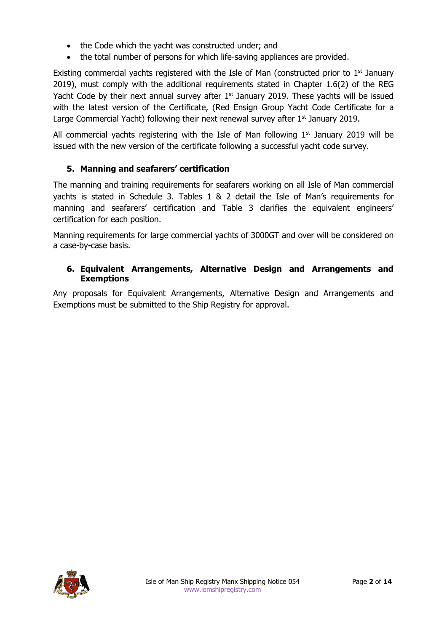- the Code which the yacht was constructed under; and
- the total number of persons for which life-saving appliances are provided.

Existing commercial yachts registered with the Isle of Man (constructed prior to  $1<sup>st</sup>$  January 2019), must comply with the additional requirements stated in Chapter 1.6(2) of the REG Yacht Code by their next annual survey after  $1<sup>st</sup>$  January 2019. These yachts will be issued with the latest version of the Certificate, (Red Ensign Group Yacht Code Certificate for a Large Commercial Yacht) following their next renewal survey after  $1<sup>st</sup>$  January 2019.

All commercial yachts registering with the Isle of Man following  $1<sup>st</sup>$  January 2019 will be issued with the new version of the certificate following a successful yacht code survey.

# **5. Manning and seafarers' certification**

The manning and training requirements for seafarers working on all Isle of Man commercial yachts is stated in Schedule 3. Tables 1 & 2 detail the Isle of Man's requirements for manning and seafarers' certification and Table 3 clarifies the equivalent engineers' certification for each position.

Manning requirements for large commercial yachts of 3000GT and over will be considered on a case-by-case basis.

#### **6. Equivalent Arrangements, Alternative Design and Arrangements and Exemptions**

Any proposals for Equivalent Arrangements, Alternative Design and Arrangements and Exemptions must be submitted to the Ship Registry for approval.

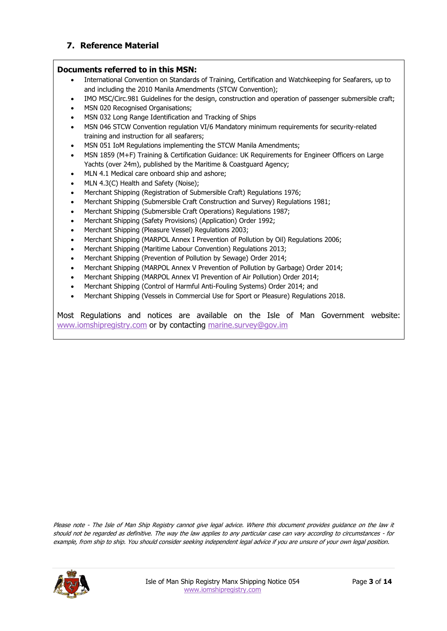#### **7. Reference Material**

#### **Documents referred to in this MSN:**

- International Convention on Standards of Training, Certification and Watchkeeping for Seafarers, up to and including the 2010 Manila Amendments (STCW Convention);
- IMO MSC/Circ.981 Guidelines for the design, construction and operation of passenger submersible craft;
- MSN 020 Recognised Organisations;
- MSN 032 Long Range Identification and Tracking of Ships
- MSN 046 STCW Convention regulation VI/6 Mandatory minimum requirements for security-related training and instruction for all seafarers;
- MSN 051 IoM Regulations implementing the STCW Manila Amendments;
- MSN 1859 (M+F) Training & Certification Guidance: UK Requirements for Engineer Officers on Large Yachts (over 24m), published by the Maritime & Coastguard Agency;
- MLN 4.1 Medical care onboard ship and ashore;
- MLN 4.3(C) Health and Safety (Noise);
- Merchant Shipping (Registration of Submersible Craft) Regulations 1976;
- Merchant Shipping (Submersible Craft Construction and Survey) Regulations 1981;
- Merchant Shipping (Submersible Craft Operations) Regulations 1987;
- Merchant Shipping (Safety Provisions) (Application) Order 1992;
- Merchant Shipping (Pleasure Vessel) Regulations 2003;
- Merchant Shipping (MARPOL Annex I Prevention of Pollution by Oil) Regulations 2006;
- Merchant Shipping (Maritime Labour Convention) Regulations 2013;
- Merchant Shipping (Prevention of Pollution by Sewage) Order 2014;
- Merchant Shipping (MARPOL Annex V Prevention of Pollution by Garbage) Order 2014;
- Merchant Shipping (MARPOL Annex VI Prevention of Air Pollution) Order 2014;
- Merchant Shipping (Control of Harmful Anti-Fouling Systems) Order 2014; and
- Merchant Shipping (Vessels in Commercial Use for Sport or Pleasure) Regulations 2018.

Most Regulations and notices are available on the Isle of Man Government website: [www.iomshipregistry.com](http://www.iomshipregistry.com/) or by contacting [marine.survey@gov.im](mailto:marine.survey@gov.im)

Please note - The Isle of Man Ship Registry cannot give legal advice. Where this document provides guidance on the law it should not be regarded as definitive. The way the law applies to any particular case can vary according to circumstances - for example, from ship to ship. You should consider seeking independent legal advice if you are unsure of your own legal position.

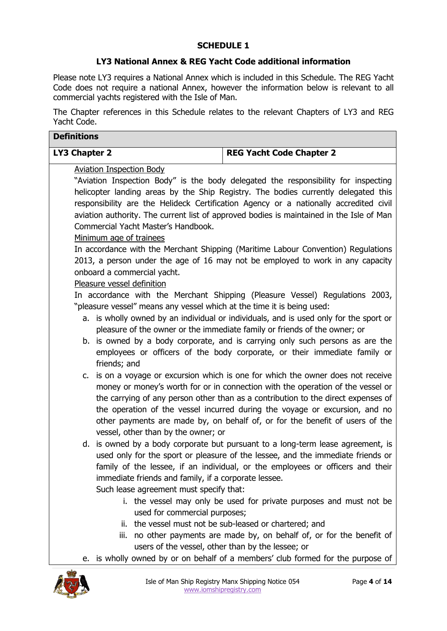#### **SCHEDULE 1**

#### **LY3 National Annex & REG Yacht Code additional information**

Please note LY3 requires a National Annex which is included in this Schedule. The REG Yacht Code does not require a national Annex, however the information below is relevant to all commercial yachts registered with the Isle of Man.

The Chapter references in this Schedule relates to the relevant Chapters of LY3 and REG Yacht Code.

| <b>Definitions</b> |                                                                                                      |                                                                                                                                                                                                                                                                                                                                                                                                                                                                                                   |  |
|--------------------|------------------------------------------------------------------------------------------------------|---------------------------------------------------------------------------------------------------------------------------------------------------------------------------------------------------------------------------------------------------------------------------------------------------------------------------------------------------------------------------------------------------------------------------------------------------------------------------------------------------|--|
| LY3 Chapter 2      |                                                                                                      | <b>REG Yacht Code Chapter 2</b>                                                                                                                                                                                                                                                                                                                                                                                                                                                                   |  |
|                    | <b>Aviation Inspection Body</b><br>Commercial Yacht Master's Handbook.                               | "Aviation Inspection Body" is the body delegated the responsibility for inspecting<br>helicopter landing areas by the Ship Registry. The bodies currently delegated this<br>responsibility are the Helideck Certification Agency or a nationally accredited civil<br>aviation authority. The current list of approved bodies is maintained in the Isle of Man                                                                                                                                     |  |
|                    | Minimum age of trainees<br>onboard a commercial yacht.                                               | In accordance with the Merchant Shipping (Maritime Labour Convention) Regulations<br>2013, a person under the age of 16 may not be employed to work in any capacity                                                                                                                                                                                                                                                                                                                               |  |
|                    | Pleasure vessel definition<br>"pleasure vessel" means any vessel which at the time it is being used: | In accordance with the Merchant Shipping (Pleasure Vessel) Regulations 2003,<br>a. is wholly owned by an individual or individuals, and is used only for the sport or<br>pleasure of the owner or the immediate family or friends of the owner; or<br>b. is owned by a body corporate, and is carrying only such persons as are the                                                                                                                                                               |  |
| C.                 | friends; and<br>vessel, other than by the owner; or                                                  | employees or officers of the body corporate, or their immediate family or<br>is on a voyage or excursion which is one for which the owner does not receive<br>money or money's worth for or in connection with the operation of the vessel or<br>the carrying of any person other than as a contribution to the direct expenses of<br>the operation of the vessel incurred during the voyage or excursion, and no<br>other payments are made by, on behalf of, or for the benefit of users of the |  |
|                    | immediate friends and family, if a corporate lessee.<br>Such lease agreement must specify that:      | d. is owned by a body corporate but pursuant to a long-term lease agreement, is<br>used only for the sport or pleasure of the lessee, and the immediate friends or<br>family of the lessee, if an individual, or the employees or officers and their                                                                                                                                                                                                                                              |  |
|                    | used for commercial purposes;<br>users of the vessel, other than by the lessee; or                   | i. the vessel may only be used for private purposes and must not be<br>ii. the vessel must not be sub-leased or chartered; and<br>iii. no other payments are made by, on behalf of, or for the benefit of                                                                                                                                                                                                                                                                                         |  |
|                    |                                                                                                      | e. is wholly owned by or on behalf of a members' club formed for the purpose of                                                                                                                                                                                                                                                                                                                                                                                                                   |  |

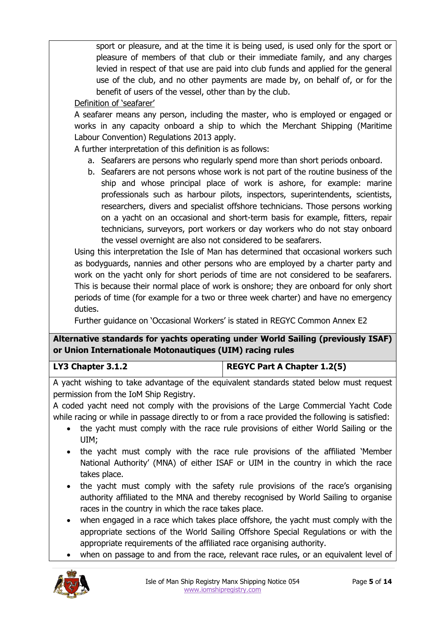sport or pleasure, and at the time it is being used, is used only for the sport or pleasure of members of that club or their immediate family, and any charges levied in respect of that use are paid into club funds and applied for the general use of the club, and no other payments are made by, on behalf of, or for the benefit of users of the vessel, other than by the club.

### Definition of 'seafarer'

A seafarer means any person, including the master, who is employed or engaged or works in any capacity onboard a ship to which the Merchant Shipping (Maritime Labour Convention) Regulations 2013 apply.

A further interpretation of this definition is as follows:

- a. Seafarers are persons who regularly spend more than short periods onboard.
- b. Seafarers are not persons whose work is not part of the routine business of the ship and whose principal place of work is ashore, for example: marine professionals such as harbour pilots, inspectors, superintendents, scientists, researchers, divers and specialist offshore technicians. Those persons working on a yacht on an occasional and short-term basis for example, fitters, repair technicians, surveyors, port workers or day workers who do not stay onboard the vessel overnight are also not considered to be seafarers.

Using this interpretation the Isle of Man has determined that occasional workers such as bodyguards, nannies and other persons who are employed by a charter party and work on the yacht only for short periods of time are not considered to be seafarers. This is because their normal place of work is onshore; they are onboard for only short periods of time (for example for a two or three week charter) and have no emergency duties.

Further guidance on 'Occasional Workers' is stated in REGYC Common Annex E2

# **Alternative standards for yachts operating under World Sailing (previously ISAF) or Union Internationale Motonautiques (UIM) racing rules**

| LY3 Chapter 3.1.2 |
|-------------------|
|-------------------|

**LY3 Chapter 3.1.2 REGYC Part A Chapter 1.2(5)**

A yacht wishing to take advantage of the equivalent standards stated below must request permission from the IoM Ship Registry.

A coded yacht need not comply with the provisions of the Large Commercial Yacht Code while racing or while in passage directly to or from a race provided the following is satisfied:

- the yacht must comply with the race rule provisions of either World Sailing or the UIM;
- the yacht must comply with the race rule provisions of the affiliated 'Member National Authority' (MNA) of either ISAF or UIM in the country in which the race takes place.
- the yacht must comply with the safety rule provisions of the race's organising authority affiliated to the MNA and thereby recognised by World Sailing to organise races in the country in which the race takes place.
- when engaged in a race which takes place offshore, the yacht must comply with the appropriate sections of the World Sailing Offshore Special Regulations or with the appropriate requirements of the affiliated race organising authority.
- when on passage to and from the race, relevant race rules, or an equivalent level of

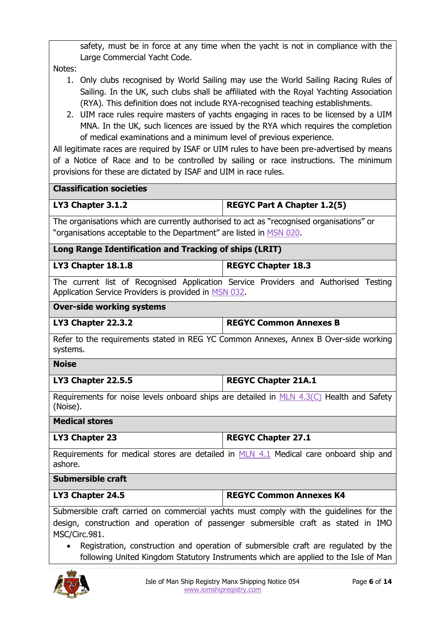safety, must be in force at any time when the yacht is not in compliance with the Large Commercial Yacht Code.

Notes:

- 1. Only clubs recognised by World Sailing may use the World Sailing Racing Rules of Sailing. In the UK, such clubs shall be affiliated with the Royal Yachting Association (RYA). This definition does not include RYA-recognised teaching establishments.
- 2. UIM race rules require masters of yachts engaging in races to be licensed by a UIM MNA. In the UK, such licences are issued by the RYA which requires the completion of medical examinations and a minimum level of previous experience.

All legitimate races are required by ISAF or UIM rules to have been pre-advertised by means of a Notice of Race and to be controlled by sailing or race instructions. The minimum provisions for these are dictated by ISAF and UIM in race rules.

| <b>Classification societies</b>                                                          |                                    |  |
|------------------------------------------------------------------------------------------|------------------------------------|--|
| LY3 Chapter 3.1.2                                                                        | <b>REGYC Part A Chapter 1.2(5)</b> |  |
| The organisations which are currently authorised to act as "recognised organisations" or |                                    |  |
| "organisations acceptable to the Department" are listed in MSN 020.                      |                                    |  |

#### **Long Range Identification and Tracking of ships (LRIT)**

#### **LY3 Chapter 18.1.8 REGYC Chapter 18.3**

The current list of Recognised Application Service Providers and Authorised Testing Application Service Providers is provided in [MSN 032.](https://www.iomshipregistry.com/media/1391/msn-032-long-range-identification-and-tracking-of-ships.pdf)

#### **Over-side working systems**

| LY3 Chapter 22.3.2 | <b>REGYC Common Annexes B</b> |
|--------------------|-------------------------------|

Refer to the requirements stated in REG YC Common Annexes, Annex B Over-side working systems.

#### **Noise**

#### **LY3 Chapter 22.5.5 REGYC Chapter 21A.1**

Requirements for noise levels onboard ships are detailed in [MLN 4.3\(C\)](https://www.iomshipregistry.com/media/1340/mln-43-c-health-and-safety-noise.pdf) Health and Safety (Noise).

#### **Medical stores**

| LY3 Chapter 23 | <b>REGYC Chapter 27.1</b> |
|----------------|---------------------------|

Requirements for medical stores are detailed in [MLN 4.1](https://www.iomshipregistry.com/media/1336/mln-41-medical-care-onboard-ship-and-ashore.pdf) Medical care onboard ship and ashore.

#### **Submersible craft**

| LY3 Chapter 24.5 | <b>REGYC Common Annexes K4</b> |
|------------------|--------------------------------|

Submersible craft carried on commercial yachts must comply with the guidelines for the design, construction and operation of passenger submersible craft as stated in IMO MSC/Circ.981.

 Registration, construction and operation of submersible craft are regulated by the following United Kingdom Statutory Instruments which are applied to the Isle of Man

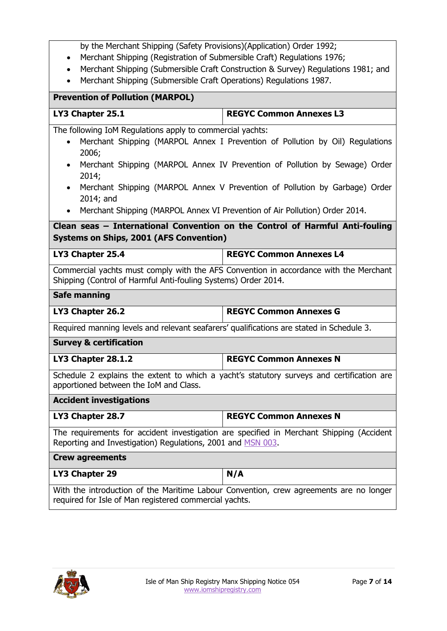|  | by the Merchant Shipping (Safety Provisions)(Application) Order 1992; |
|--|-----------------------------------------------------------------------|
|--|-----------------------------------------------------------------------|

- Merchant Shipping (Registration of Submersible Craft) Regulations 1976;
- Merchant Shipping (Submersible Craft Construction & Survey) Regulations 1981; and
- Merchant Shipping (Submersible Craft Operations) Regulations 1987.

# **Prevention of Pollution (MARPOL) LY3 Chapter 25.1 REGYC Common Annexes L3** The following IoM Regulations apply to commercial yachts: Merchant Shipping (MARPOL Annex I Prevention of Pollution by Oil) Regulations 2006; Merchant Shipping (MARPOL Annex IV Prevention of Pollution by Sewage) Order 2014; Merchant Shipping (MARPOL Annex V Prevention of Pollution by Garbage) Order 2014; and Merchant Shipping (MARPOL Annex VI Prevention of Air Pollution) Order 2014.

**Clean seas – International Convention on the Control of Harmful Anti-fouling Systems on Ships, 2001 (AFS Convention)**

| LY3 Chapter 25.4 | <b>REGYC Common Annexes L4</b> |
|------------------|--------------------------------|
|                  |                                |

Commercial yachts must comply with the AFS Convention in accordance with the Merchant Shipping (Control of Harmful Anti-fouling Systems) Order 2014.

#### **Safe manning**

**LY3 Chapter 26.2 REGYC Common Annexes G**

Required manning levels and relevant seafarers' qualifications are stated in Schedule 3.

**Survey & certification**

**LY3 Chapter 28.1.2 REGYC Common Annexes N**

Schedule 2 explains the extent to which a yacht's statutory surveys and certification are apportioned between the IoM and Class.

#### **Accident investigations**

| LY3 Chapter 28.7 | <b>REGYC Common Annexes N</b> |
|------------------|-------------------------------|
|                  |                               |

The requirements for accident investigation are specified in Merchant Shipping (Accident Reporting and Investigation) Regulations, 2001 and [MSN 003.](https://www.iomshipregistry.com/media/1373/msn-003-accident-reporting.pdf)

# **Crew agreements** LY3 Chapter 29 **N/A**

With the introduction of the Maritime Labour Convention, crew agreements are no longer required for Isle of Man registered commercial yachts.

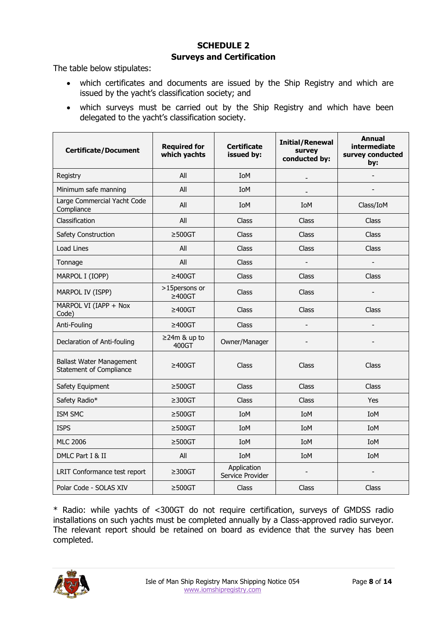# **SCHEDULE 2 Surveys and Certification**

The table below stipulates:

- which certificates and documents are issued by the Ship Registry and which are issued by the yacht's classification society; and
- which surveys must be carried out by the Ship Registry and which have been delegated to the yacht's classification society.

| <b>Certificate/Document</b>                                | <b>Required for</b><br>which yachts | <b>Certificate</b><br>issued by: | <b>Initial/Renewal</b><br>survey<br>conducted by: | <b>Annual</b><br>intermediate<br>survey conducted<br>by: |
|------------------------------------------------------------|-------------------------------------|----------------------------------|---------------------------------------------------|----------------------------------------------------------|
| Registry                                                   | All                                 | <b>IoM</b>                       |                                                   |                                                          |
| Minimum safe manning                                       | All                                 | IoM                              | $\overline{\phantom{a}}$                          |                                                          |
| Large Commercial Yacht Code<br>Compliance                  | All                                 | IoM                              | <b>IoM</b>                                        | Class/IoM                                                |
| Classification                                             | All                                 | <b>Class</b>                     | Class                                             | Class                                                    |
| Safety Construction                                        | $\geq$ 500GT                        | <b>Class</b>                     | Class                                             | <b>Class</b>                                             |
| Load Lines                                                 | All                                 | Class                            | Class                                             | Class                                                    |
| Tonnage                                                    | All                                 | Class                            |                                                   |                                                          |
| MARPOL I (IOPP)                                            | $\geq 400$ GT                       | Class                            | Class                                             | Class                                                    |
| MARPOL IV (ISPP)                                           | >15persons or<br>$\geq 400$ GT      | Class                            | Class                                             |                                                          |
| MARPOL VI (IAPP + Nox<br>Code)                             | $\geq 400$ GT                       | Class                            | Class                                             | Class                                                    |
| Anti-Fouling                                               | $\geq 400$ GT                       | Class                            |                                                   |                                                          |
| Declaration of Anti-fouling                                | $\geq$ 24m & up to<br>400GT         | Owner/Manager                    |                                                   |                                                          |
| <b>Ballast Water Management</b><br>Statement of Compliance | $\geq 400$ GT                       | Class                            | Class                                             | Class                                                    |
| Safety Equipment                                           | $\geq$ 500GT                        | Class                            | Class                                             | <b>Class</b>                                             |
| Safety Radio*                                              | $\geq$ 300GT                        | Class                            | Class                                             | Yes                                                      |
| ISM SMC                                                    | $\geq$ 500GT                        | IoM                              | IoM                                               | IoM                                                      |
| <b>ISPS</b>                                                | $\geq$ 500GT                        | IoM                              | <b>IoM</b>                                        | IoM                                                      |
| <b>MLC 2006</b>                                            | $\geq$ 500GT                        | IoM                              | <b>IoM</b>                                        | IoM                                                      |
| DMLC Part I & II                                           | All                                 | IoM                              | <b>IoM</b>                                        | <b>IoM</b>                                               |
| LRIT Conformance test report                               | $\geq$ 300GT                        | Application<br>Service Provider  |                                                   |                                                          |
| Polar Code - SOLAS XIV                                     | $\geq$ 500GT                        | Class                            | Class                                             | Class                                                    |

\* Radio: while yachts of <300GT do not require certification, surveys of GMDSS radio installations on such yachts must be completed annually by a Class-approved radio surveyor. The relevant report should be retained on board as evidence that the survey has been completed.

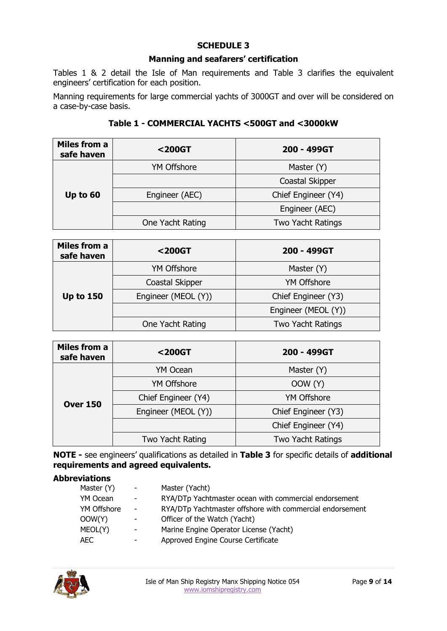### **SCHEDULE 3**

#### **Manning and seafarers' certification**

Tables 1 & 2 detail the Isle of Man requirements and Table 3 clarifies the equivalent engineers' certification for each position.

Manning requirements for large commercial yachts of 3000GT and over will be considered on a case-by-case basis.

| <b>Miles from a</b><br>safe haven | <200GT             | 200 - 499GT         |  |
|-----------------------------------|--------------------|---------------------|--|
| Up to 60                          | <b>YM Offshore</b> | Master (Y)          |  |
|                                   |                    | Coastal Skipper     |  |
|                                   | Engineer (AEC)     | Chief Engineer (Y4) |  |
|                                   |                    | Engineer (AEC)      |  |
|                                   | One Yacht Rating   | Two Yacht Ratings   |  |

**Table 1 - COMMERCIAL YACHTS <500GT and <3000kW**

| Miles from a<br>safe haven | $200GT$             | 200 - 499GT         |  |
|----------------------------|---------------------|---------------------|--|
| <b>Up to 150</b>           | <b>YM Offshore</b>  | Master (Y)          |  |
|                            | Coastal Skipper     | <b>YM Offshore</b>  |  |
|                            | Engineer (MEOL (Y)) | Chief Engineer (Y3) |  |
|                            |                     | Engineer (MEOL (Y)) |  |
|                            | One Yacht Rating    | Two Yacht Ratings   |  |

| Miles from a<br>safe haven | <200GT              | 200 - 499GT              |  |
|----------------------------|---------------------|--------------------------|--|
| <b>Over 150</b>            | YM Ocean            | Master (Y)               |  |
|                            | <b>YM Offshore</b>  | OOW (Y)                  |  |
|                            | Chief Engineer (Y4) | <b>YM Offshore</b>       |  |
|                            | Engineer (MEOL (Y)) | Chief Engineer (Y3)      |  |
|                            |                     | Chief Engineer (Y4)      |  |
|                            | Two Yacht Rating    | <b>Two Yacht Ratings</b> |  |

**NOTE -** see engineers' qualifications as detailed in **Table 3** for specific details of **additional requirements and agreed equivalents.**

#### **Abbreviations**

| Master (Y)  | $\sim 100$               | Master (Yacht)                                           |
|-------------|--------------------------|----------------------------------------------------------|
| YM Ocean    | $\overline{\phantom{a}}$ | RYA/DTp Yachtmaster ocean with commercial endorsement    |
| YM Offshore | $\blacksquare$           | RYA/DTp Yachtmaster offshore with commercial endorsement |
| OOW(Y)      | $\sim$                   | Officer of the Watch (Yacht)                             |
| MEOL(Y)     | $\overline{\phantom{a}}$ | Marine Engine Operator License (Yacht)                   |
| AEC.        | ٠                        | Approved Engine Course Certificate                       |

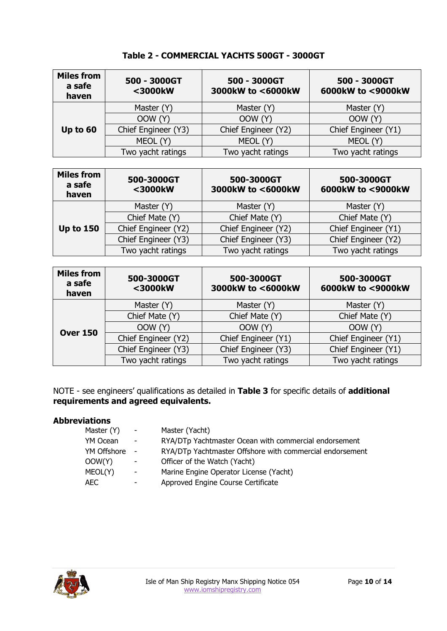| <b>Miles from</b><br>a safe<br>haven | 500 - 3000GT<br><3000kW | 500 - 3000GT<br>3000kW to <6000kW | 500 - 3000GT<br>6000kW to <9000kW |  |
|--------------------------------------|-------------------------|-----------------------------------|-----------------------------------|--|
| Up to 60                             | Master (Y)              | Master (Y)                        | Master (Y)                        |  |
|                                      | OOW (Y)                 | OOW (Y)                           | OOW (Y)                           |  |
|                                      | Chief Engineer (Y3)     | Chief Engineer (Y2)               | Chief Engineer (Y1)               |  |
|                                      | MEOL (Y)                | MEOL (Y)                          | MEOL (Y)                          |  |
|                                      | Two yacht ratings       | Two yacht ratings                 | Two yacht ratings                 |  |

**Table 2 - COMMERCIAL YACHTS 500GT - 3000GT**

| <b>Miles from</b><br>a safe<br>haven | 500-3000GT<br><3000kW | 500-3000GT<br>3000kW to <6000kW | 500-3000GT<br>6000kW to <9000kW |  |
|--------------------------------------|-----------------------|---------------------------------|---------------------------------|--|
| <b>Up to 150</b>                     | Master (Y)            | Master (Y)                      | Master (Y)                      |  |
|                                      | Chief Mate (Y)        | Chief Mate (Y)                  | Chief Mate (Y)                  |  |
|                                      | Chief Engineer (Y2)   | Chief Engineer (Y2)             | Chief Engineer (Y1)             |  |
|                                      | Chief Engineer (Y3)   | Chief Engineer (Y3)             | Chief Engineer (Y2)             |  |
|                                      | Two yacht ratings     | Two yacht ratings               | Two yacht ratings               |  |

| <b>Miles from</b><br>a safe<br>haven | 500-3000GT<br><3000kW | 500-3000GT<br>3000kW to <6000kW | 500-3000GT<br>6000kW to <9000kW |  |
|--------------------------------------|-----------------------|---------------------------------|---------------------------------|--|
| <b>Over 150</b>                      | Master (Y)            | Master (Y)                      | Master (Y)                      |  |
|                                      | Chief Mate (Y)        | Chief Mate (Y)                  | Chief Mate (Y)                  |  |
|                                      | OOW (Y)               | OOW (Y)                         | OOW (Y)                         |  |
|                                      | Chief Engineer (Y2)   | Chief Engineer (Y1)             | Chief Engineer (Y1)             |  |
|                                      | Chief Engineer (Y3)   | Chief Engineer (Y3)             | Chief Engineer (Y1)             |  |
|                                      | Two yacht ratings     | Two yacht ratings               | Two yacht ratings               |  |

NOTE - see engineers' qualifications as detailed in **Table 3** for specific details of **additional requirements and agreed equivalents.**

#### **Abbreviations**

| $\sim 100$               | Master (Yacht)                                           |
|--------------------------|----------------------------------------------------------|
| $\overline{\phantom{a}}$ | RYA/DTp Yachtmaster Ocean with commercial endorsement    |
| $\sim$                   | RYA/DTp Yachtmaster Offshore with commercial endorsement |
| $\overline{\phantom{a}}$ | Officer of the Watch (Yacht)                             |
| $\blacksquare$           | Marine Engine Operator License (Yacht)                   |
|                          | Approved Engine Course Certificate                       |
|                          |                                                          |

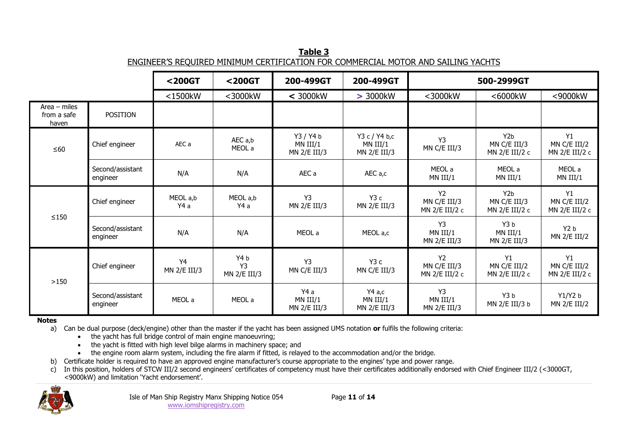**Table 3** ENGINEER'S REQUIRED MINIMUM CERTIFICATION FOR COMMERCIAL MOTOR AND SAILING YACHTS

|                                        |                              | $200G$                         | <200GT                                | 200-499GT                               | 200-499GT                                   | 500-2999GT                                  |                                                    |                                      |
|----------------------------------------|------------------------------|--------------------------------|---------------------------------------|-----------------------------------------|---------------------------------------------|---------------------------------------------|----------------------------------------------------|--------------------------------------|
|                                        |                              | $<$ 1500 $kW$                  | <3000kW                               | $<$ 3000 $kW$                           | > 3000kW                                    | <3000kW                                     | <6000kW                                            | <9000kW                              |
| $Area - miles$<br>from a safe<br>haven | <b>POSITION</b>              |                                |                                       |                                         |                                             |                                             |                                                    |                                      |
| $\leq 60$                              | Chief engineer               | AEC a                          | AEC a,b<br>MEOL a                     | Y3 / Y4 b<br>$MN$ III/1<br>MN 2/E III/3 | Y3 c / Y4 b,c<br>$MN$ III/1<br>MN 2/E III/3 | Y3<br>MN C/E III/3                          | Y <sub>2</sub> b<br>MN C/E III/3<br>MN 2/E III/2 c | Y1<br>MN C/E III/2<br>MN 2/E III/2 c |
|                                        | Second/assistant<br>engineer | N/A                            | N/A                                   | AEC a                                   | AEC a,c                                     | MEOL a<br>$MN$ III/1                        | MEOL a<br>$MN$ III/1                               | MEOL a<br>$MN$ III/1                 |
| $\leq$ 150                             | Chief engineer               | MEOL a,b<br>Y4 a               | MEOL a,b<br>Y4 a                      | Y3<br>MN 2/E III/3                      | Y3c<br>MN 2/E III/3                         | <b>Y2</b><br>MN C/E III/3<br>MN 2/E III/2 c | Y2b<br>MN C/E III/3<br>MN 2/E III/2 c              | Y1<br>MN C/E III/2<br>MN 2/E III/2 c |
|                                        | Second/assistant<br>engineer | N/A                            | N/A                                   | MEOL a                                  | MEOL a,c                                    | Y3<br>$MN$ III/1<br>MN 2/E III/3            | Y3 <sub>b</sub><br>MN III/1<br>MN 2/E III/3        | Y2 b<br>MN 2/E III/2                 |
| >150                                   | Chief engineer               | Y <sub>4</sub><br>MN 2/E III/3 | Y4b<br>Y <sub>3</sub><br>MN 2/E III/3 | Y <sub>3</sub><br>MN C/E III/3          | Y <sub>3</sub> c<br>MN C/E III/3            | <b>Y2</b><br>MN C/E III/3<br>MN 2/E III/2 c | Y1<br>MN C/E III/2<br>MN $2/E$ III/2 c             | Y1<br>MN C/E III/2<br>MN 2/E III/2 c |
|                                        | Second/assistant<br>engineer | MEOL a                         | MEOL a                                | Y4 a<br>$MN$ III/1<br>MN 2/E III/3      | Y4a,c<br>$MN$ III/1<br>MN 2/E III/3         | Y3<br>$MN$ III/1<br>MN 2/E III/3            | Y3 b<br>MN 2/E III/3 b                             | Y1/Y2 b<br>MN 2/E III/2              |

**Notes**

a) Can be dual purpose (deck/engine) other than the master if the yacht has been assigned UMS notation **or** fulfils the following criteria:

the yacht has full bridge control of main engine manoeuvring;

• the yacht is fitted with high level bilge alarms in machinery space; and

the engine room alarm system, including the fire alarm if fitted, is relayed to the accommodation and/or the bridge.

b) Certificate holder is required to have an approved engine manufacturer's course appropriate to the engines' type and power range.

c) In this position, holders of STCW III/2 second engineers' certificates of competency must have their certificates additionally endorsed with Chief Engineer III/2 (<3000GT, <9000kW) and limitation 'Yacht endorsement'.

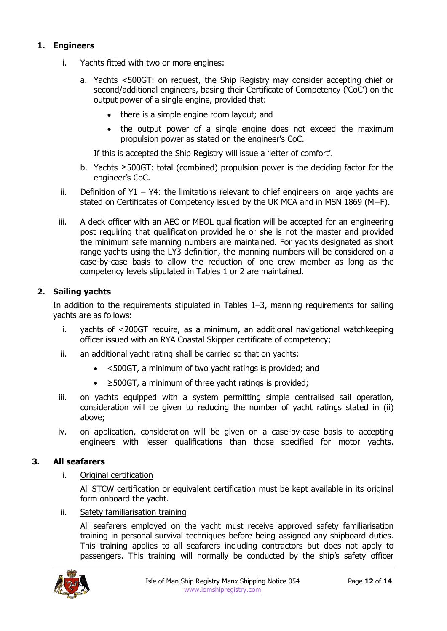#### **1. Engineers**

- i. Yachts fitted with two or more engines:
	- a. Yachts <500GT: on request, the Ship Registry may consider accepting chief or second/additional engineers, basing their Certificate of Competency ('CoC') on the output power of a single engine, provided that:
		- there is a simple engine room layout; and
		- the output power of a single engine does not exceed the maximum propulsion power as stated on the engineer's CoC.

If this is accepted the Ship Registry will issue a 'letter of comfort'.

- b. Yachts ≥500GT: total (combined) propulsion power is the deciding factor for the engineer's CoC.
- ii. Definition of  $Y1 Y4$ : the limitations relevant to chief engineers on large yachts are stated on Certificates of Competency issued by the UK MCA and in MSN 1869 (M+F).
- iii. A deck officer with an AEC or MEOL qualification will be accepted for an engineering post requiring that qualification provided he or she is not the master and provided the minimum safe manning numbers are maintained. For yachts designated as short range yachts using the LY3 definition, the manning numbers will be considered on a case-by-case basis to allow the reduction of one crew member as long as the competency levels stipulated in Tables 1 or 2 are maintained.

#### **2. Sailing yachts**

In addition to the requirements stipulated in Tables 1–3, manning requirements for sailing yachts are as follows:

- i. yachts of <200GT require, as a minimum, an additional navigational watchkeeping officer issued with an RYA Coastal Skipper certificate of competency;
- ii. an additional yacht rating shall be carried so that on yachts:
	- <500GT, a minimum of two yacht ratings is provided; and
	- ≥500GT, a minimum of three yacht ratings is provided;
- iii. on yachts equipped with a system permitting simple centralised sail operation, consideration will be given to reducing the number of yacht ratings stated in (ii) above;
- iv. on application, consideration will be given on a case-by-case basis to accepting engineers with lesser qualifications than those specified for motor yachts.

#### **3. All seafarers**

i. Original certification

All STCW certification or equivalent certification must be kept available in its original form onboard the yacht.

ii. Safety familiarisation training

All seafarers employed on the yacht must receive approved safety familiarisation training in personal survival techniques before being assigned any shipboard duties. This training applies to all seafarers including contractors but does not apply to passengers. This training will normally be conducted by the ship's safety officer

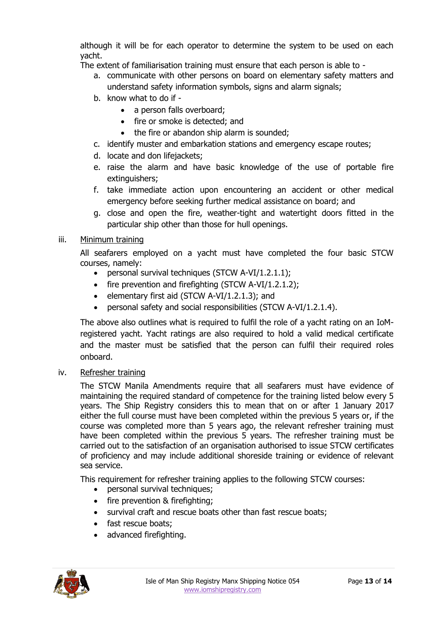although it will be for each operator to determine the system to be used on each yacht.

The extent of familiarisation training must ensure that each person is able to -

- a. communicate with other persons on board on elementary safety matters and understand safety information symbols, signs and alarm signals;
- b. know what to do if
	- a person falls overboard;
	- fire or smoke is detected; and
	- the fire or abandon ship alarm is sounded;
- c. identify muster and embarkation stations and emergency escape routes;
- d. locate and don lifejackets;
- e. raise the alarm and have basic knowledge of the use of portable fire extinguishers;
- f. take immediate action upon encountering an accident or other medical emergency before seeking further medical assistance on board; and
- g. close and open the fire, weather-tight and watertight doors fitted in the particular ship other than those for hull openings.

### iii. Minimum training

All seafarers employed on a yacht must have completed the four basic STCW courses, namely:

- personal survival techniques (STCW A-VI/1.2.1.1);
- $\bullet$  fire prevention and firefighting (STCW A-VI/1.2.1.2);
- e elementary first aid (STCW A-VI/1.2.1.3); and
- personal safety and social responsibilities (STCW A-VI/1.2.1.4).

The above also outlines what is required to fulfil the role of a yacht rating on an IoMregistered yacht. Yacht ratings are also required to hold a valid medical certificate and the master must be satisfied that the person can fulfil their required roles onboard.

### iv. Refresher training

The STCW Manila Amendments require that all seafarers must have evidence of maintaining the required standard of competence for the training listed below every 5 years. The Ship Registry considers this to mean that on or after 1 January 2017 either the full course must have been completed within the previous 5 years or, if the course was completed more than 5 years ago, the relevant refresher training must have been completed within the previous 5 years. The refresher training must be carried out to the satisfaction of an organisation authorised to issue STCW certificates of proficiency and may include additional shoreside training or evidence of relevant sea service.

This requirement for refresher training applies to the following STCW courses:

- personal survival techniques;
- fire prevention & firefighting;
- survival craft and rescue boats other than fast rescue boats;
- fast rescue boats;
- advanced firefighting.